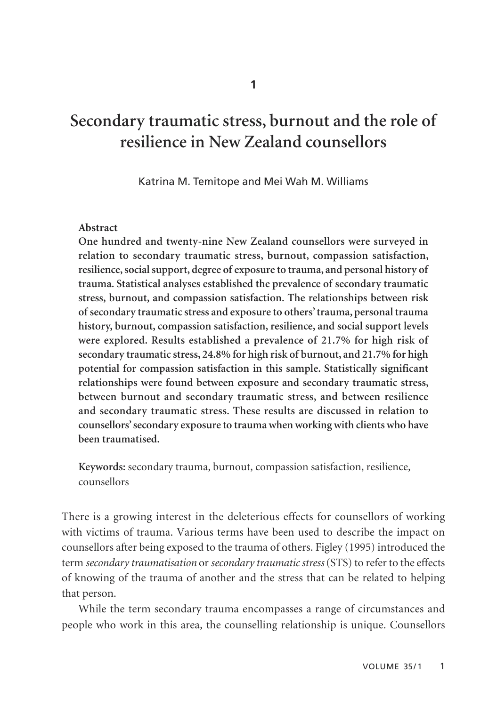# **Secondary traumatic stress, burnout and the role of resilience in New Zealand counsellors**

Katrina M. Temitope and Mei Wah M. Williams

#### **Abstract**

**One hundred and twenty-nine New Zealand counsellors were surveyed in relation to secondary traumatic stress, burnout, compassion satisfaction, resilience, social support, degree of exposure to trauma, and personal history of trauma. Statistical analyses established the prevalence of secondary traumatic stress, burnout, and compassion satisfaction. The relationships between risk of secondary traumatic stress and exposure to others' trauma, personal trauma history, burnout, compassion satisfaction, resilience, and social support levels were explored. Results established a prevalence of 21.7% for high risk of secondary traumatic stress, 24.8% for high risk of burnout, and 21.7% for high potential for compassion satisfaction in this sample. Statistically significant relationships were found between exposure and secondary traumatic stress, between burnout and secondary traumatic stress, and between resilience and secondary traumatic stress. These results are discussed in relation to counsellors' secondary exposure to trauma when working with clients who have been traumatised.**

**Keywords:** secondary trauma, burnout, compassion satisfaction, resilience, counsellors

There is a growing interest in the deleterious effects for counsellors of working with victims of trauma. Various terms have been used to describe the impact on counsellors after being exposed to the trauma of others. Figley (1995) introduced the term *secondary traumatisation* or *secondary traumatic stress*(STS) to refer to the effects of knowing of the trauma of another and the stress that can be related to helping that person.

While the term secondary trauma encompasses a range of circumstances and people who work in this area, the counselling relationship is unique. Counsellors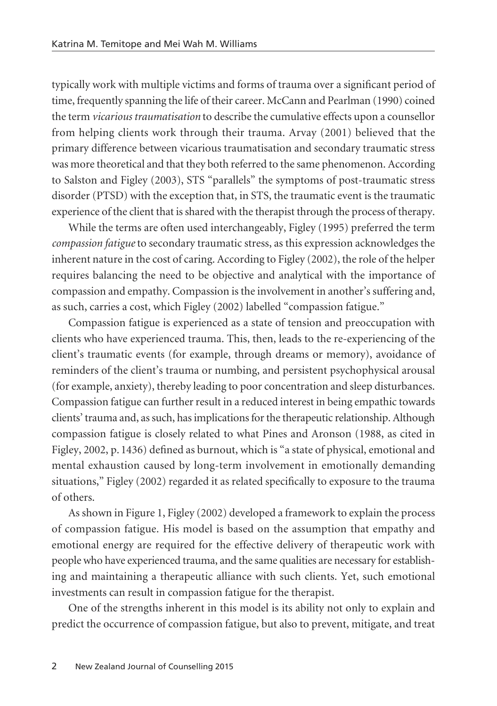typically work with multiple victims and forms of trauma over a significant period of time, frequently spanning the life of their career. McCann and Pearlman (1990) coined the term *vicarious traumatisation* to describe the cumulative effects upon a counsellor from helping clients work through their trauma. Arvay (2001) believed that the primary difference between vicarious traumatisation and secondary traumatic stress was more theoretical and that they both referred to the same phenomenon. According to Salston and Figley (2003), STS "parallels" the symptoms of post-traumatic stress disorder (PTSD) with the exception that, in STS, the traumatic event is the traumatic experience of the client that is shared with the therapist through the process of therapy.

While the terms are often used interchangeably, Figley (1995) preferred the term *compassion fatigue* to secondary traumatic stress, as this expression acknowledges the inherent nature in the cost of caring. According to Figley (2002), the role of the helper requires balancing the need to be objective and analytical with the importance of compassion and empathy. Compassion is the involvement in another's suffering and, as such, carries a cost, which Figley (2002) labelled "compassion fatigue."

Compassion fatigue is experienced as a state of tension and preoccupation with clients who have experienced trauma. This, then, leads to the re-experiencing of the client's traumatic events (for example, through dreams or memory), avoidance of reminders of the client's trauma or numbing, and persistent psychophysical arousal (for example, anxiety), thereby leading to poor concentration and sleep disturbances. Compassion fatigue can further result in a reduced interest in being empathic towards clients' trauma and, as such, has implications for the therapeutic relationship. Although compassion fatigue is closely related to what Pines and Aronson (1988, as cited in Figley, 2002, p. 1436) defined as burnout, which is "a state of physical, emotional and mental exhaustion caused by long-term involvement in emotionally demanding situations," Figley (2002) regarded it as related specifically to exposure to the trauma of others.

As shown in Figure 1, Figley (2002) developed a framework to explain the process of compassion fatigue. His model is based on the assumption that empathy and emotional energy are required for the effective delivery of therapeutic work with people who have experienced trauma, and the same qualities are necessary for establish ing and maintaining a therapeutic alliance with such clients. Yet, such emotional investments can result in compassion fatigue for the therapist.

One of the strengths inherent in this model is its ability not only to explain and predict the occurrence of compassion fatigue, but also to prevent, mitigate, and treat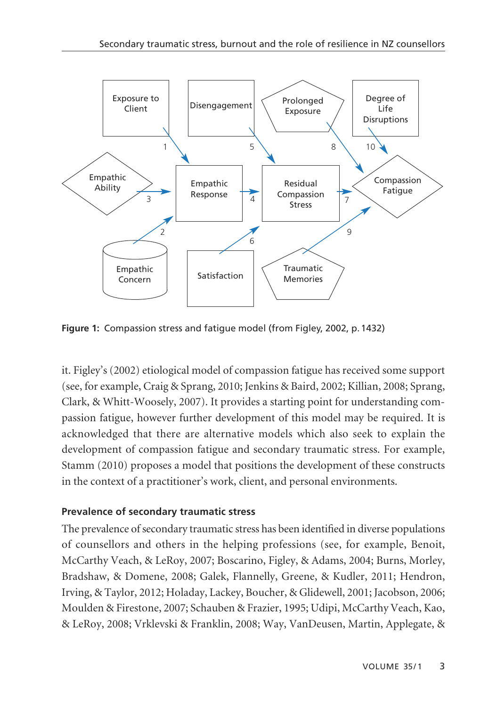

**Figure 1:** Compassion stress and fatigue model (from Figley, 2002, p.1432)

it. Figley's (2002) etiological model of compassion fatigue has received some support (see, for example, Craig & Sprang, 2010; Jenkins & Baird, 2002; Killian, 2008; Sprang, Clark, & Whitt-Woosely, 2007). It provides a starting point for understanding com pas sion fatigue, however further development of this model may be required. It is acknowledged that there are alternative models which also seek to explain the development of compassion fatigue and secondary traumatic stress. For example, Stamm (2010) proposes a model that positions the development of these constructs in the context of a practitioner's work, client, and personal environments.

# **Prevalence of secondary traumatic stress**

The prevalence of secondary traumatic stress has been identified in diverse populations of counsellors and others in the helping professions (see, for example, Benoit, McCarthy Veach, & LeRoy, 2007; Boscarino, Figley, & Adams, 2004; Burns, Morley, Bradshaw, & Domene, 2008; Galek, Flannelly, Greene, & Kudler, 2011; Hendron, Irving, & Taylor, 2012; Holaday, Lackey, Boucher, & Glidewell, 2001; Jacobson, 2006; Moulden & Firestone, 2007; Schauben & Frazier, 1995; Udipi, McCarthy Veach, Kao, & LeRoy, 2008; Vrklevski & Franklin, 2008; Way, VanDeusen, Martin, Applegate, &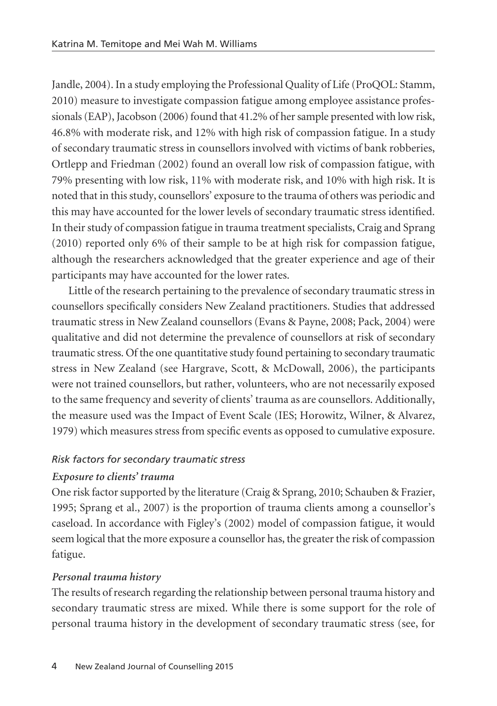Jandle, 2004). In a study employing the Professional Quality of Life (ProQOL: Stamm, 2010) measure to investigate compassion fatigue among employee assistance profes sionals (EAP), Jacobson (2006) found that 41.2% of her sample presented with low risk, 46.8% with moderate risk, and 12% with high risk of compassion fatigue. In a study of secondary traumatic stress in counsellors involved with victims of bank robberies, Ortlepp and Friedman (2002) found an overall low risk of compassion fatigue, with 79% presenting with low risk, 11% with moderate risk, and 10% with high risk. It is noted that in this study, counsellors' exposure to the trauma of others was periodic and this may have accounted for the lower levels of secondary traumatic stress identified. In their study of compassion fatigue in trauma treatment specialists, Craig and Sprang (2010) reported only 6% of their sample to be at high risk for compassion fatigue, although the researchers acknowledged that the greater experience and age of their participants may have accounted for the lower rates.

Little of the research pertaining to the prevalence of secondary traumatic stress in counsellors specifically considers New Zealand practitioners. Studies that addressed traumatic stress in New Zealand counsellors (Evans & Payne, 2008; Pack, 2004) were qualitative and did not determine the prevalence of counsellors at risk of secondary traumatic stress. Of the one quantitative study found pertaining to secondary traumatic stress in New Zealand (see Hargrave, Scott, & McDowall, 2006), the participants were not trained counsellors, but rather, volunteers, who are not necessarily exposed to the same frequency and severity of clients' trauma as are counsellors. Additionally, the measure used was the Impact of Event Scale (IES; Horowitz, Wilner, & Alvarez, 1979) which measures stress from specific events as opposed to cumulative exposure.

# *Risk factors for secondary traumatic stress*

# *Exposure to clients' trauma*

One risk factor supported by the literature (Craig & Sprang, 2010; Schauben & Frazier, 1995; Sprang et al., 2007) is the proportion of trauma clients among a counsellor's caseload. In accordance with Figley's (2002) model of compassion fatigue, it would seem logical that the more exposure a counsellor has, the greater the risk of compassion fatigue.

# *Personal trauma history*

The results of research regarding the relationship between personal trauma history and secondary traumatic stress are mixed. While there is some support for the role of personal trauma history in the development of secondary traumatic stress (see, for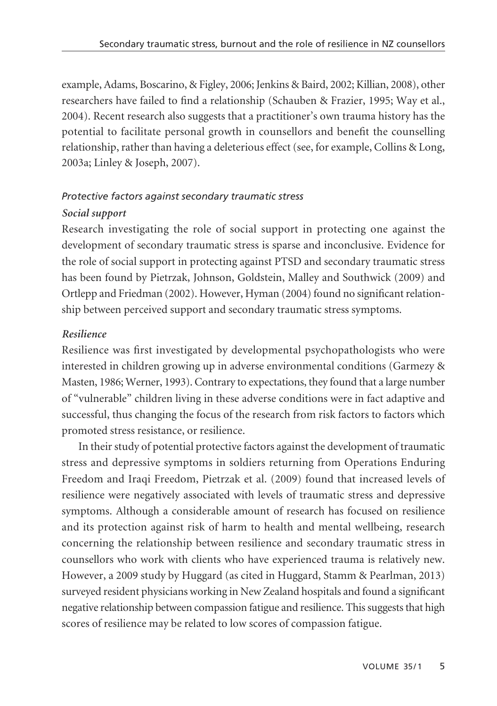example, Adams, Boscarino, & Figley, 2006; Jenkins & Baird, 2002; Killian, 2008), other researchers have failed to find a relationship (Schauben & Frazier, 1995; Way et al., 2004). Recent research also suggests that a practitioner's own trauma history has the potential to facilitate personal growth in counsellors and benefit the counselling relationship, rather than having a deleterious effect (see, for example, Collins & Long, 2003a; Linley & Joseph, 2007).

# *Protective factors against secondary traumatic stress Social support*

Research investigating the role of social support in protecting one against the development of secondary traumatic stress is sparse and inconclusive. Evidence for the role of social support in protecting against PTSD and secondary traumatic stress has been found by Pietrzak, Johnson, Goldstein, Malley and Southwick (2009) and Ortlepp and Friedman (2002). However, Hyman (2004) found no significant relation ship between perceived support and secondary traumatic stress symptoms.

# *Resilience*

Resilience was first investigated by developmental psychopathologists who were interested in children growing up in adverse environmental conditions (Garmezy & Masten, 1986; Werner, 1993). Contrary to expectations, they found that a large number of "vulnerable" children living in these adverse conditions were in fact adaptive and successful, thus changing the focus of the research from risk factors to factors which promoted stress resistance, or resilience.

In their study of potential protective factors against the development of traumatic stress and depressive symptoms in soldiers returning from Operations Enduring Freedom and Iraqi Freedom, Pietrzak et al. (2009) found that increased levels of resilience were negatively associated with levels of traumatic stress and depressive symptoms. Although a considerable amount of research has focused on resilience and its protection against risk of harm to health and mental wellbeing, research concerning the relationship between resilience and secondary traumatic stress in counsellors who work with clients who have experienced trauma is relatively new. However, a 2009 study by Huggard (as cited in Huggard, Stamm & Pearlman, 2013) surveyed resident physicians working in New Zealand hospitals and found a significant negative relationship between compassion fatigue and resilience. This suggests that high scores of resilience may be related to low scores of compassion fatigue.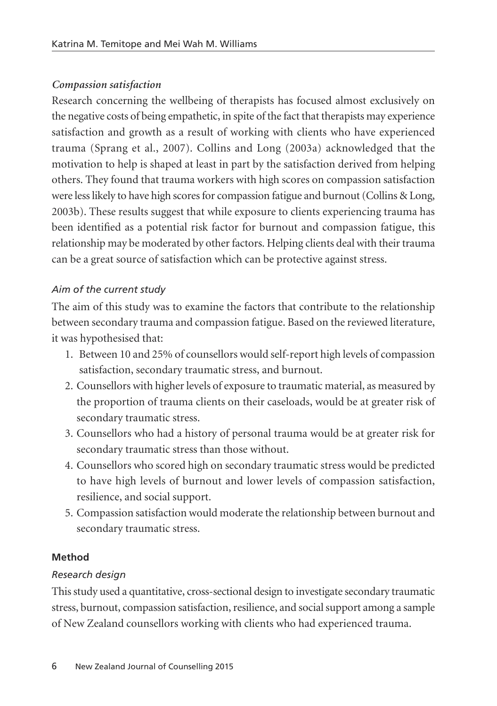# *Compassion satisfaction*

Research concerning the wellbeing of therapists has focused almost exclusively on the negative costs of being empathetic, in spite of the fact that therapists may experience satisfaction and growth as a result of working with clients who have experienced trauma (Sprang et al., 2007). Collins and Long (2003a) acknowledged that the motivation to help is shaped at least in part by the satisfaction derived from helping others. They found that trauma workers with high scores on compassion satisfaction were less likely to have high scores for compassion fatigue and burnout (Collins & Long, 2003b). These results suggest that while exposure to clients experiencing trauma has been identified as a potential risk factor for burnout and compassion fatigue, this relationship may be moderated by other factors. Helping clients deal with their trauma can be a great source of satisfaction which can be protective against stress.

# *Aim of the current study*

The aim of this study was to examine the factors that contribute to the relationship between secondary trauma and compassion fatigue. Based on the reviewed literature, it was hypothesised that:

- 1. Between 10 and 25% of counsellors would self-report high levels of compassion satisfaction, secondary traumatic stress, and burnout.
- 2. Counsellors with higher levels of exposure to traumatic material, as measured by the proportion of trauma clients on their caseloads, would be at greater risk of secondary traumatic stress.
- 3. Counsellors who had a history of personal trauma would be at greater risk for secondary traumatic stress than those without.
- 4. Counsellors who scored high on secondary traumatic stress would be predicted to have high levels of burnout and lower levels of compassion satisfaction, resilience, and social support.
- 5. Compassion satisfaction would moderate the relationship between burnout and secondary traumatic stress.

# **Method**

# *Research design*

This study used a quantitative, cross-sectional design to investigate secondary traumatic stress, burnout, compassion satisfaction, resilience, and social support among a sample of New Zealand counsellors working with clients who had experienced trauma.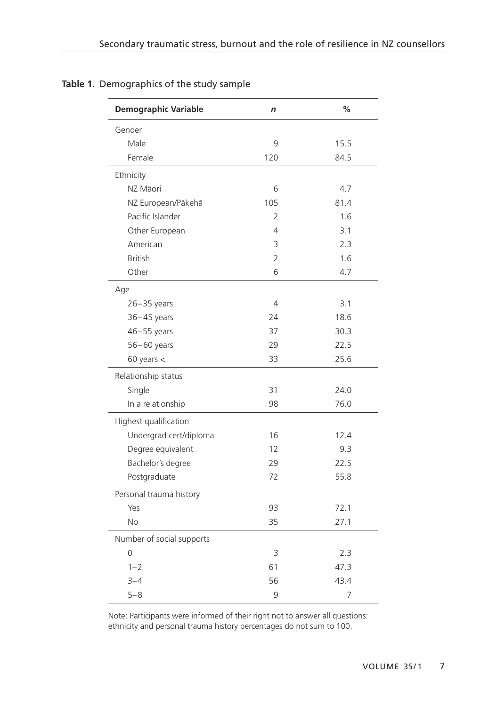| <b>Demographic Variable</b> | n                        | %              |
|-----------------------------|--------------------------|----------------|
| Gender                      |                          |                |
| Male                        | 9                        | 15.5           |
| Female                      | 120                      | 84.5           |
| Ethnicity                   |                          |                |
| NZ Māori                    | 6                        | 4.7            |
| NZ European/Pākehā          | 105                      | 81.4           |
| Pacific Islander            | $\overline{\phantom{a}}$ | 1.6            |
| Other European              | 4                        | 3.1            |
| American                    | 3                        | 2.3            |
| <b>British</b>              | $\overline{2}$           | 1.6            |
| Other                       | 6                        | 4.7            |
| Age                         |                          |                |
| $26 - 35$ years             | 4                        | 3.1            |
| $36 - 45$ years             | 24                       | 18.6           |
| $46 - 55$ years             | 37                       | 30.3           |
| $56 - 60$ years             | 29                       | 22.5           |
| $60$ years $<$              | 33                       | 25.6           |
| Relationship status         |                          |                |
| Single                      | 31                       | 24.0           |
| In a relationship           | 98                       | 76.0           |
| Highest qualification       |                          |                |
| Undergrad cert/diploma      | 16                       | 12.4           |
| Degree equivalent           | 12                       | 9.3            |
| Bachelor's degree           | 29                       | 22.5           |
| Postgraduate                | 72                       | 55.8           |
| Personal trauma history     |                          |                |
| Yes                         | 93                       | 72.1           |
| <b>No</b>                   | 35                       | 27.1           |
| Number of social supports   |                          |                |
| 0                           | 3                        | 2.3            |
| $1 - 2$                     | 61                       | 47.3           |
| $3 - 4$                     | 56                       | 43.4           |
| $5 - 8$                     | 9                        | $\overline{7}$ |

# **Table 1.** Demographics of the study sample

Note: Participants were informed of their right not to answer all questions: ethnicity and personal trauma history percentages do not sum to 100.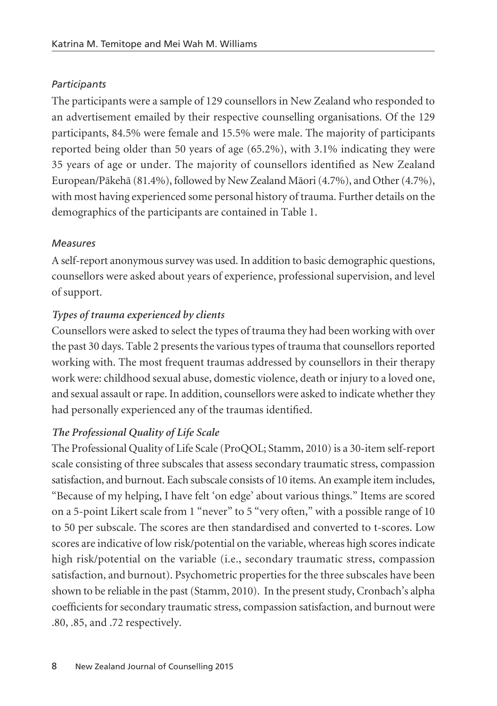# *Participants*

The participants were a sample of 129 counsellors in New Zealand who responded to an advertisement emailed by their respective counselling organisations. Of the 129 participants, 84.5% were female and 15.5% were male. The majority of participants reported being older than 50 years of age (65.2%), with 3.1% indicating they were 35 years of age or under. The majority of counsellors identified as New Zealand European/Päkehä (81.4%), followed by New Zealand Mäori (4.7%), and Other (4.7%), with most having experienced some personal history of trauma. Further details on the demographics of the participants are contained in Table 1.

# *Measures*

A self-report anonymous survey was used. In addition to basic demographic questions, counsellors were asked about years of experience, professional supervision, and level of support.

# *Types of trauma experienced by clients*

Counsellors were asked to select the types of trauma they had been working with over the past 30 days. Table 2 presents the various types of trauma that counsellors reported working with. The most frequent traumas addressed by counsellors in their therapy work were: childhood sexual abuse, domestic violence, death or injury to a loved one, and sexual assault or rape. In addition, counsellors were asked to indicate whether they had personally experienced any of the traumas identified.

# *The Professional Quality of Life Scale*

The Professional Quality of Life Scale (ProQOL; Stamm, 2010) is a 30-item self-report scale consisting of three subscales that assess secondary traumatic stress, compassion satisfaction, and burnout. Each subscale consists of 10 items. An example item includes, "Because of my helping, I have felt 'on edge' about various things." Items are scored on a 5-point Likert scale from 1 "never" to 5 "very often," with a possible range of 10 to 50 per subscale. The scores are then standardised and converted to t-scores. Low scores are indicative of low risk/potential on the variable, whereas high scores indicate high risk/potential on the variable (i.e., secondary traumatic stress, compassion satisfaction, and burnout). Psychometric properties for the three subscales have been shown to be reliable in the past (Stamm, 2010). In the present study, Cronbach's alpha coefficients for secondary traumatic stress, compassion satisfaction, and burnout were .80, .85, and .72 respectively.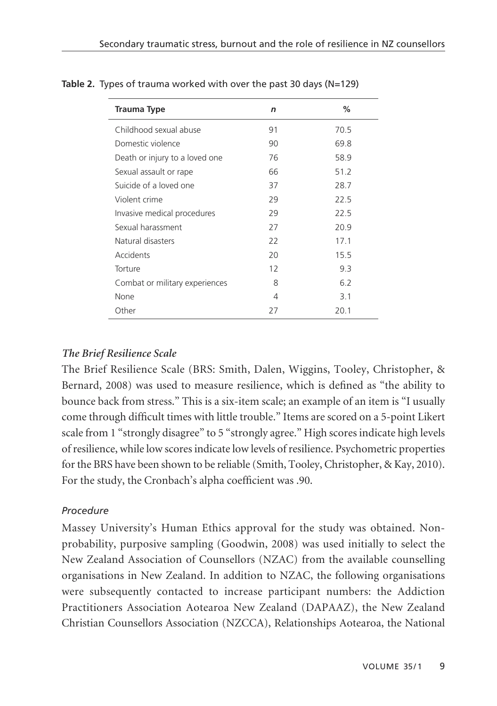| <b>Trauma Type</b>             | n  | $\%$ |
|--------------------------------|----|------|
| Childhood sexual abuse         | 91 | 70.5 |
| Domestic violence              | 90 | 69.8 |
| Death or injury to a loved one | 76 | 58.9 |
| Sexual assault or rape         | 66 | 51.2 |
| Suicide of a loved one         | 37 | 28.7 |
| Violent crime                  | 29 | 22.5 |
| Invasive medical procedures    | 29 | 22.5 |
| Sexual harassment              | 27 | 20.9 |
| Natural disasters              | 22 | 17.1 |
| Accidents                      | 20 | 15.5 |
| Torture                        | 12 | 9.3  |
| Combat or military experiences | 8  | 6.2  |
| None                           | 4  | 3.1  |
| Other                          | 27 | 20.1 |

## **Table 2.** Types of trauma worked with over the past 30 days (N=129)

# *The Brief Resilience Scale*

The Brief Resilience Scale (BRS: Smith, Dalen, Wiggins, Tooley, Christopher, & Bernard, 2008) was used to measure resilience, which is defined as "the ability to bounce back from stress." This is a six-item scale; an example of an item is "I usually come through difficult times with little trouble." Items are scored on a 5-point Likert scale from 1 "strongly disagree" to 5 "strongly agree." High scores indicate high levels of resilience, while low scores indicate low levels of resilience. Psychometric properties for the BRS have been shown to be reliable (Smith, Tooley, Christopher, & Kay, 2010). For the study, the Cronbach's alpha coefficient was .90.

# *Procedure*

Massey University's Human Ethics approval for the study was obtained. Nonprobability, purposive sampling (Goodwin, 2008) was used initially to select the New Zealand Association of Counsellors (NZAC) from the available counselling organisations in New Zealand. In addition to NZAC, the following organisations were subsequently contacted to increase participant numbers: the Addiction Practitioners Association Aotearoa New Zealand (DAPAAZ), the New Zealand Christian Counsellors Association (NZCCA), Relationships Aotearoa, the National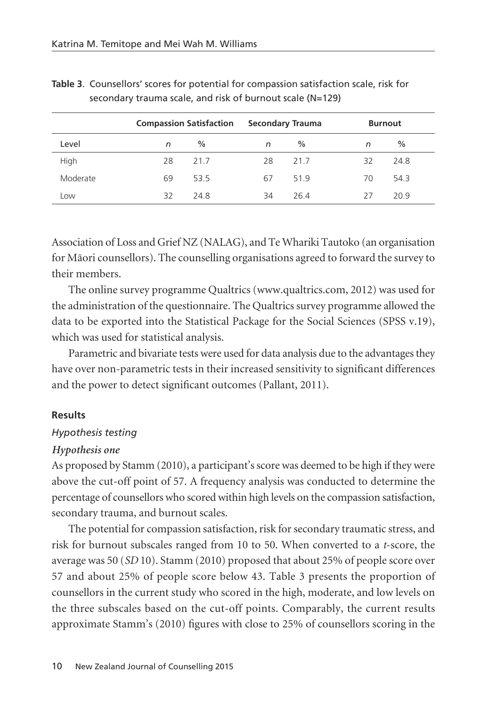|          |    | <b>Compassion Satisfaction</b> | Secondary Trauma |               |    | <b>Burnout</b> |
|----------|----|--------------------------------|------------------|---------------|----|----------------|
| Level    | n  | $\frac{0}{0}$                  | n                | $\frac{0}{0}$ | n  | $\frac{0}{0}$  |
| High     | 28 | 21.7                           | 28               | 21.7          | 32 | 24.8           |
| Moderate | 69 | 53.5                           | 67               | 51.9          | 70 | 54.3           |
| Low      | 32 | 24.8                           | 34               | 26.4          | 27 | 20.9           |

**Table 3**. Counsellors' scores for potential for compassion satisfaction scale, risk for secondary trauma scale, and risk of burnout scale (N=129)

Association of Loss and Grief NZ (NALAG), and Te Whariki Tautoko (an organisation for Mäori counsellors). The counselling organisations agreed to forward the survey to their members.

The online survey programme Qualtrics (www.qualtrics.com, 2012) was used for the administration of the questionnaire. The Qualtrics survey programme allowed the data to be exported into the Statistical Package for the Social Sciences (SPSS v.19), which was used for statistical analysis.

Parametric and bivariate tests were used for data analysis due to the advantages they have over non-parametric tests in their increased sensitivity to significant differences and the power to detect significant outcomes (Pallant, 2011).

#### **Results**

### *Hypothesis testing*

#### *Hypothesis one*

As proposed by Stamm (2010), a participant's score was deemed to be high if they were above the cut-off point of 57. A frequency analysis was conducted to determine the percentage of counsellors who scored within high levels on the compassion satisfaction, secondary trauma, and burnout scales.

The potential for compassion satisfaction, risk for secondary traumatic stress, and risk for burnout subscales ranged from 10 to 50. When converted to a *t*-score, the average was 50 (*SD* 10). Stamm (2010) proposed that about 25% of people score over 57 and about 25% of people score below 43. Table 3 presents the proportion of counsellors in the current study who scored in the high, moderate, and low levels on the three subscales based on the cut-off points. Comparably, the current results approximate Stamm's (2010) figures with close to 25% of counsellors scoring in the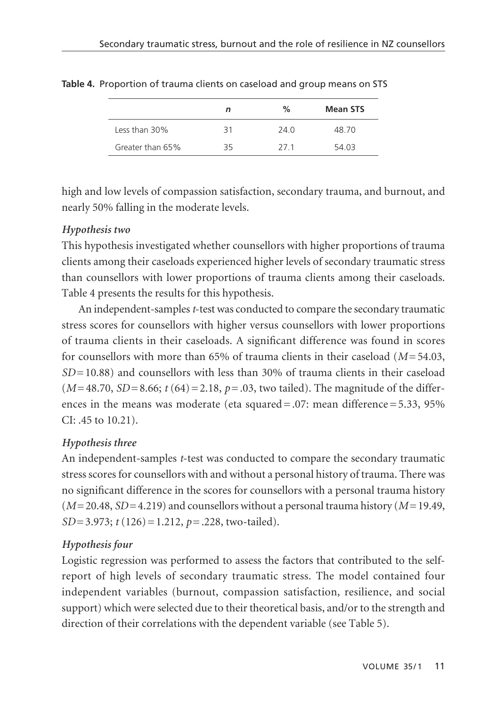|                  | n   | $\%$ | <b>Mean STS</b> |
|------------------|-----|------|-----------------|
| Less than 30%    | 31  | 740  | 48.70           |
| Greater than 65% | 35. | 271  | 54.03           |

**Table 4.** Proportion of trauma clients on caseload and group means on STS

high and low levels of compassion satisfaction, secondary trauma, and burnout, and nearly 50% falling in the moderate levels.

## *Hypothesis two*

This hypothesis investigated whether counsellors with higher proportions of trauma clients among their caseloads experienced higher levels of secondary traumatic stress than counsellors with lower proportions of trauma clients among their caseloads. Table 4 presents the results for this hypothesis.

An independent-samples *t*-test was conducted to compare the secondary traumatic stress scores for counsellors with higher versus counsellors with lower proportions of trauma clients in their caseloads. A significant difference was found in scores for counsellors with more than 65% of trauma clients in their caseload (*M*= 54.03,  $SD = 10.88$ ) and counsellors with less than  $30\%$  of trauma clients in their case load  $(M=48.70, SD=8.66; t(64)=2.18, p=.03$ , two tailed). The magnitude of the differences in the means was moderate (eta squared = .07: mean difference =  $5.33$ ,  $95\%$ CI: .45 to 10.21).

# *Hypothesis three*

An independent-samples *t*-test was conducted to compare the secondary traumatic stress scores for counsellors with and without a personal history of trauma. There was no significant difference in the scores for counsellors with a personal trauma history (*M*= 20.48, *SD*= 4.219) and counsellors without a personal trauma history (*M*= 19.49, *SD*= 3.973; *t* (126) = 1.212, *p*= .228, two-tailed).

# *Hypothesis four*

Logistic regression was performed to assess the factors that contributed to the selfreport of high levels of secondary traumatic stress. The model contained four independent variables (burnout, compassion satisfaction, resilience, and social support) which were selected due to their theoretical basis, and/or to the strength and direction of their correlations with the dependent variable (see Table 5).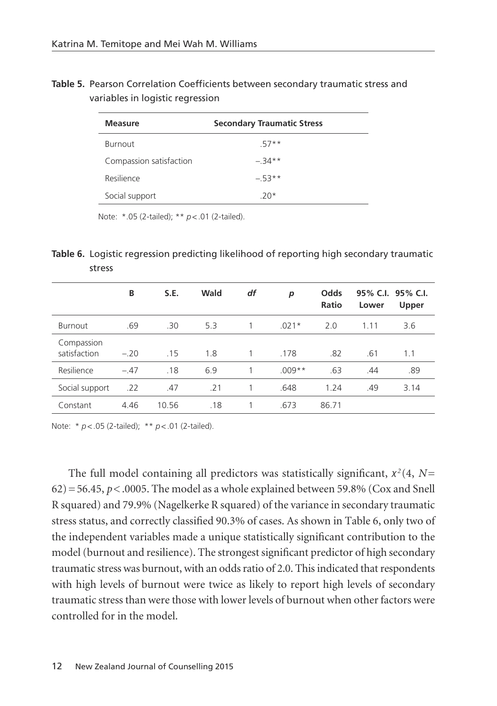**Table 5.** Pearson Correlation Coefficients between secondary traumatic stress and variables in logistic regression

| Measure                 | <b>Secondary Traumatic Stress</b> |
|-------------------------|-----------------------------------|
| <b>Burnout</b>          | 57**                              |
| Compassion satisfaction | $-34**$                           |
| Resilience              | $-53**$                           |
| Social support          | $20*$                             |

Note: \*.05 (2-tailed); \*\* *p*<.01 (2-tailed).

**Table 6.** Logistic regression predicting likelihood of reporting high secondary traumatic stress

|                            | в      | S.E.  | Wald | df | р        | Odds<br>Ratio | Lower | 95% C.I. 95% C.I.<br>Upper |
|----------------------------|--------|-------|------|----|----------|---------------|-------|----------------------------|
| <b>Burnout</b>             | .69    | .30   | 5.3  | 1  | $.021*$  | 2.0           | 1.11  | 3.6                        |
| Compassion<br>satisfaction | $-.20$ | .15   | 1.8  | 1  | .178     | .82           | .61   | 1.1                        |
| Resilience                 | $-.47$ | .18   | 6.9  | 1  | $.009**$ | .63           | .44   | .89                        |
| Social support             | .22    | .47   | .21  | 1  | .648     | 1.24          | .49   | 3.14                       |
| Constant                   | 4.46   | 10.56 | .18  | 1  | .673     | 86.71         |       |                            |

Note: \* *p*<.05 (2-tailed); \*\* *p*<.01 (2-tailed).

The full model containing all predictors was statistically significant, χ*<sup>2</sup>* (4, *N*=  $62$ ) = 56.45,  $p$ <.0005. The model as a whole explained between 59.8% (Cox and Snell R squared) and 79.9% (Nagelkerke R squared) of the variance in secondary traumatic stress status, and correctly classified 90.3% of cases. As shown in Table 6, only two of the independent variables made a unique statistically significant contribution to the model (burnout and resilience). The strongest significant predictor of high secondary traumatic stress was burnout, with an odds ratio of 2.0. This indicated that respondents with high levels of burnout were twice as likely to report high levels of secondary traumatic stress than were those with lower levels of burnout when other factors were controlled for in the model.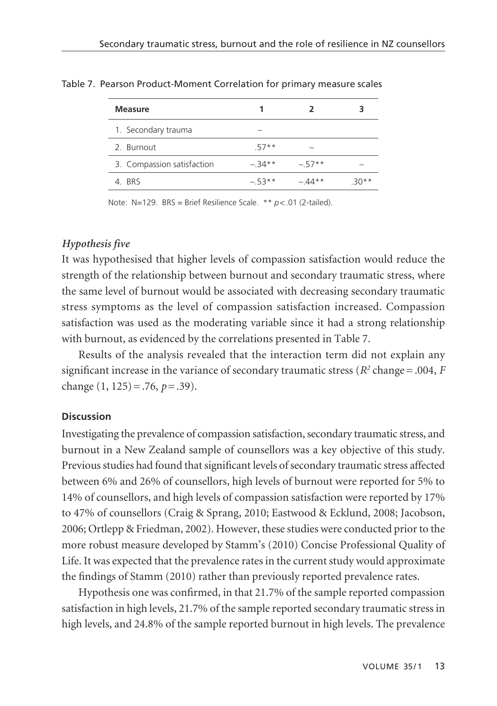| Measure                    | 1       |         |        |
|----------------------------|---------|---------|--------|
| 1. Secondary trauma        |         |         |        |
| 2. Burnout                 | $.57**$ | -       |        |
| 3. Compassion satisfaction | $-34**$ | $-57**$ | -      |
| 4 RRS                      | $-53**$ | $-44**$ | $30**$ |

Table 7. Pearson Product-Moment Correlation for primary measure scales

Note: N=129. BRS = Brief Resilience Scale. \*\* *p*<.01 (2-tailed).

# *Hypothesis five*

It was hypothesised that higher levels of compassion satisfaction would reduce the strength of the relationship between burnout and secondary traumatic stress, where the same level of burnout would be associated with decreasing secondary traumatic stress symptoms as the level of compassion satisfaction increased. Compassion satisfaction was used as the moderating variable since it had a strong relationship with burnout, as evidenced by the correlations presented in Table 7.

Results of the analysis revealed that the interaction term did not explain any significant increase in the variance of secondary traumatic stress ( $R^2$  change = .004,  $F$ change (1, 125) = .76, *p*= .39).

### **Discussion**

Investigating the prevalence of compassion satisfaction, secondary traumatic stress, and burnout in a New Zealand sample of counsellors was a key objective of this study. Previous studies had found that significant levels of secondary traumatic stress affected between 6% and 26% of counsellors, high levels of burnout were reported for 5% to 14% of counsellors, and high levels of compassion satisfaction were reported by 17% to 47% of counsellors (Craig & Sprang, 2010; Eastwood & Ecklund, 2008; Jacobson, 2006; Ortlepp & Friedman, 2002). However, these studies were conducted prior to the more robust measure developed by Stamm's (2010) Concise Professional Quality of Life. It was expected that the prevalence rates in the current study would approximate the findings of Stamm (2010) rather than previously reported prevalence rates.

Hypothesis one was confirmed, in that 21.7% of the sample reported compassion satisfaction in high levels, 21.7% of the sample reported secondary traumatic stress in high levels, and 24.8% of the sample reported burnout in high levels. The prevalence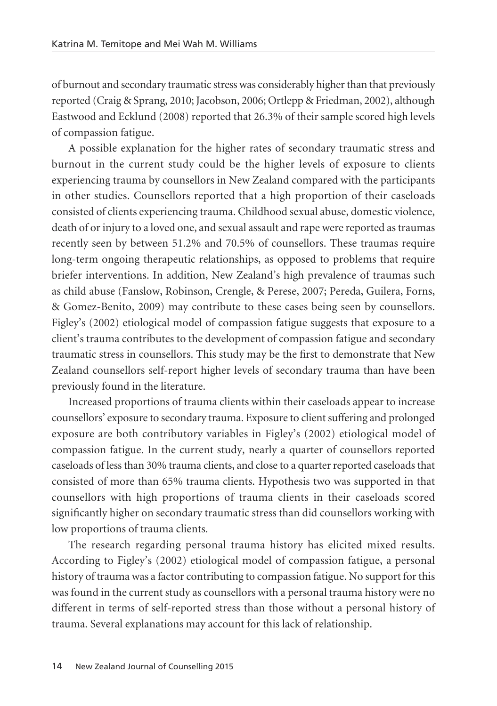of burnout and secondary traumatic stress was considerably higher than that previously reported (Craig & Sprang, 2010; Jacobson, 2006; Ortlepp & Friedman, 2002), although Eastwood and Ecklund (2008) reported that 26.3% of their sample scored high levels of compassion fatigue.

A possible explanation for the higher rates of secondary traumatic stress and burnout in the current study could be the higher levels of exposure to clients experiencing trauma by counsellors in New Zealand compared with the participants in other studies. Counsellors reported that a high proportion of their caseloads consisted of clients experiencing trauma. Childhood sexual abuse, domestic violence, death of or injury to a loved one, and sexual assault and rape were reported as traumas recently seen by between 51.2% and 70.5% of counsellors. These traumas require long-term ongoing therapeutic relationships, as opposed to problems that require briefer interventions. In addition, New Zealand's high prevalence of traumas such as child abuse (Fanslow, Robinson, Crengle, & Perese, 2007; Pereda, Guilera, Forns, & Gomez-Benito, 2009) may contribute to these cases being seen by counsellors. Figley's (2002) etiological model of compassion fatigue suggests that exposure to a client's trauma contributes to the development of compassion fatigue and secondary traumatic stress in counsellors. This study may be the first to demonstrate that New Zealand counsellors self-report higher levels of secondary trauma than have been previously found in the literature.

Increased proportions of trauma clients within their caseloads appear to increase counsellors' exposure to secondary trauma. Exposure to client suffering and prolonged exposure are both contributory variables in Figley's (2002) etiological model of compassion fatigue. In the current study, nearly a quarter of counsellors reported caseloads of less than 30% trauma clients, and close to a quarter reported caseloads that consisted of more than 65% trauma clients. Hypothesis two was supported in that counsellors with high proportions of trauma clients in their caseloads scored significantly higher on secondary traumatic stress than did counsellors working with low proportions of trauma clients.

The research regarding personal trauma history has elicited mixed results. According to Figley's (2002) etiological model of compassion fatigue, a personal history of trauma was a factor contributing to compassion fatigue. No support for this was found in the current study as counsellors with a personal trauma history were no different in terms of self-reported stress than those without a personal history of trauma. Several explanations may account for this lack of relationship.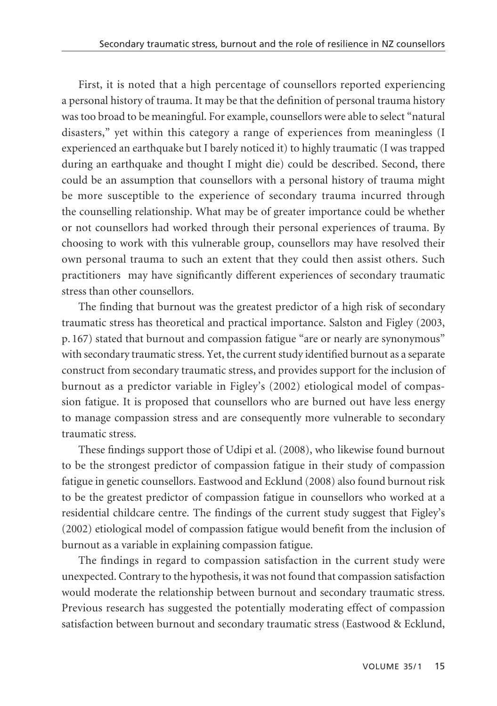First, it is noted that a high percentage of counsellors reported experiencing a personal history of trauma. It may be that the definition of personal trauma history was too broad to be meaningful. For example, counsellors were able to select "natural disasters," yet within this category a range of experiences from meaningless (I experienced an earthquake but I barely noticed it) to highly traumatic (I was trapped during an earthquake and thought I might die) could be described. Second, there could be an assumption that counsellors with a personal history of trauma might be more susceptible to the experience of secondary trauma incurred through the counselling relationship. What may be of greater importance could be whether or not counsellors had worked through their personal experiences of trauma. By choosing to work with this vulnerable group, counsellors may have resolved their own personal trauma to such an extent that they could then assist others. Such practitioners may have significantly different experiences of secondary traumatic stress than other counsellors.

The finding that burnout was the greatest predictor of a high risk of secondary traumatic stress has theoretical and practical importance. Salston and Figley (2003, p. 167) stated that burnout and compassion fatigue "are or nearly are synonymous" with secondary traumatic stress. Yet, the current study identified burnout as a separate construct from secondary traumatic stress, and provides support for the inclusion of burnout as a predictor variable in Figley's (2002) etiological model of compassion fatigue. It is proposed that counsellors who are burned out have less energy to manage compassion stress and are consequently more vulnerable to secondary traumatic stress.

These findings support those of Udipi et al. (2008), who likewise found burnout to be the strongest predictor of compassion fatigue in their study of compassion fatigue in genetic counsellors. Eastwood and Ecklund (2008) also found burnout risk to be the greatest predictor of compassion fatigue in counsellors who worked at a residential childcare centre. The findings of the current study suggest that Figley's (2002) etiological model of compassion fatigue would benefit from the inclusion of burnout as a variable in explaining compassion fatigue.

The findings in regard to compassion satisfaction in the current study were unexpected. Contrary to the hypothesis, it was not found that compassion satisfaction would moderate the relationship between burnout and secondary traumatic stress. Previous research has suggested the potentially moderating effect of compassion satisfaction between burnout and secondary traumatic stress (Eastwood & Ecklund,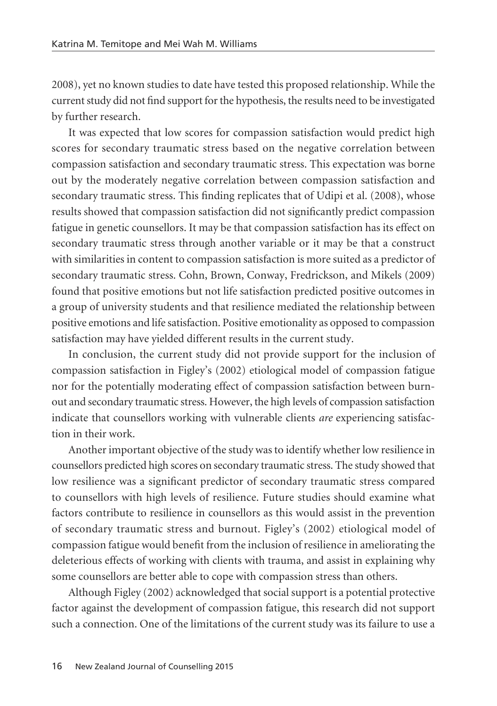2008), yet no known studies to date have tested this proposed relationship. While the current study did not find support for the hypothesis, the results need to be investigated by further research.

It was expected that low scores for compassion satisfaction would predict high scores for secondary traumatic stress based on the negative correlation between compassion satisfaction and secondary traumatic stress. This expectation was borne out by the moderately negative correlation between compassion satisfaction and secondary traumatic stress. This finding replicates that of Udipi et al. (2008), whose results showed that compassion satisfaction did not significantly predict compassion fatigue in genetic counsellors. It may be that compassion satisfaction has its effect on secondary traumatic stress through another variable or it may be that a construct with similarities in content to compassion satisfaction is more suited as a predictor of secondary traumatic stress. Cohn, Brown, Conway, Fredrickson, and Mikels (2009) found that positive emotions but not life satisfaction predicted positive outcomes in a group of university students and that resilience mediated the relationship between positive emotions and life satisfaction. Positive emotionality as opposed to compassion satisfaction may have yielded different results in the current study.

In conclusion, the current study did not provide support for the inclusion of compassion satisfaction in Figley's (2002) etiological model of compassion fatigue nor for the potentially moderating effect of compassion satisfaction between burnout and secondary traumatic stress. However, the high levels of compassion satisfaction indicate that counsellors working with vulnerable clients *are* experiencing satisfac tion in their work.

Another important objective of the study was to identify whether low resilience in counsellors predicted high scores on secondary traumatic stress. The study showed that low resilience was a significant predictor of secondary traumatic stress compared to counsellors with high levels of resilience. Future studies should examine what factors contribute to resilience in counsellors as this would assist in the prevention of secondary traumatic stress and burnout. Figley's (2002) etiological model of compassion fatigue would benefit from the inclusion of resilience in ameliorating the deleterious effects of working with clients with trauma, and assist in explaining why some counsellors are better able to cope with compassion stress than others.

Although Figley (2002) acknowledged that social support is a potential protective factor against the development of compassion fatigue, this research did not support such a connection. One of the limitations of the current study was its failure to use a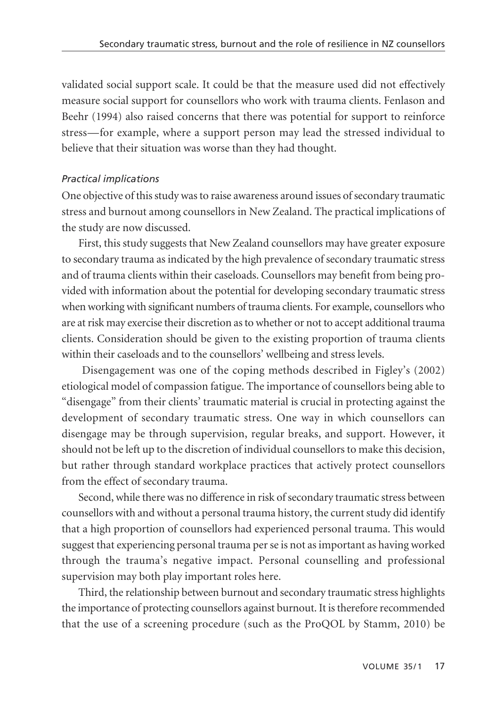validated social support scale. It could be that the measure used did not effectively measure social support for counsellors who work with trauma clients. Fenlason and Beehr (1994) also raised concerns that there was potential for support to reinforce stress—for example, where a support person may lead the stressed individual to believe that their situation was worse than they had thought.

## *Practical implications*

One objective of this study was to raise awareness around issues of secondary traumatic stress and burnout among counsellors in New Zealand. The practical implications of the study are now discussed.

First, this study suggests that New Zealand counsellors may have greater exposure to secondary trauma as indicated by the high prevalence of secondary traumatic stress and of trauma clients within their caseloads. Counsellors may benefit from being provided with information about the potential for developing secondary traumatic stress when working with significant numbers of trauma clients. For example, counsellors who are at risk may exercise their discretion as to whether or not to accept additional trauma clients. Consideration should be given to the existing proportion of trauma clients within their caseloads and to the counsellors' wellbeing and stress levels.

Disengagement was one of the coping methods described in Figley's (2002) etiological model of compassion fatigue. The importance of counsellors being able to "disengage" from their clients' traumatic material is crucial in protecting against the development of secondary traumatic stress. One way in which counsellors can disengage may be through supervision, regular breaks, and support. However, it should not be left up to the discretion of individual counsellors to make this decision, but rather through standard workplace practices that actively protect counsellors from the effect of secondary trauma.

Second, while there was no difference in risk of secondary traumatic stress between counsellors with and without a personal trauma history, the current study did identify that a high proportion of counsellors had experienced personal trauma. This would suggest that experiencing personal trauma per se is not as important as having worked through the trauma's negative impact. Personal counselling and professional supervision may both play important roles here.

Third, the relationship between burnout and secondary traumatic stress highlights the importance of protecting counsellors against burnout. It is therefore recommended that the use of a screening procedure (such as the ProQOL by Stamm, 2010) be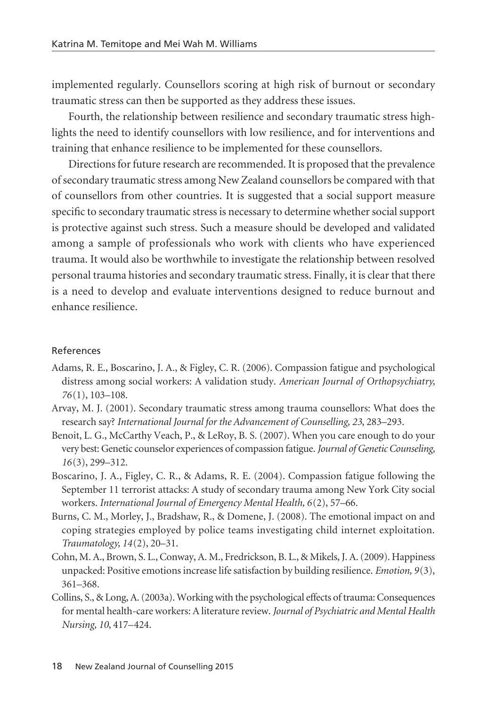implemented regularly. Counsellors scoring at high risk of burnout or secondary traumatic stress can then be supported as they address these issues.

Fourth, the relationship between resilience and secondary traumatic stress highlights the need to identify counsellors with low resilience, and for interventions and training that enhance resilience to be implemented for these counsellors.

Directions for future research are recommended. It is proposed that the prevalence of secondary traumatic stress among New Zealand counsellors be compared with that of counsellors from other countries. It is suggested that a social support measure specific to secondary traumatic stress is necessary to determine whether social support is protective against such stress. Such a measure should be developed and validated among a sample of professionals who work with clients who have experienced trauma. It would also be worthwhile to investigate the relationship between resolved personal trauma histories and secondary traumatic stress. Finally, it is clear that there is a need to develop and evaluate interventions designed to reduce burnout and enhance resilience.

### References

- Adams, R. E., Boscarino, J. A., & Figley, C. R. (2006). Compassion fatigue and psychological distress among social workers: A validation study. *American Journal of Orthopsychiatry, 76*(1), 103–108.
- Arvay, M. J. (2001). Secondary traumatic stress among trauma counsellors: What does the research say? *International Journal for the Advancement of Counselling, 23*, 283–293.
- Benoit, L. G., McCarthy Veach, P., & LeRoy, B. S. (2007). When you care enough to do your very best: Genetic counselor experiences of compassion fatigue. *Journal of Genetic Counseling, 16*(3), 299–312.
- Boscarino, J. A., Figley, C. R., & Adams, R. E. (2004). Compassion fatigue following the September 11 terrorist attacks: A study of secondary trauma among New York City social workers. *International Journal of Emergency Mental Health, 6*(2), 57–66.
- Burns, C. M., Morley, J., Bradshaw, R., & Domene, J. (2008). The emotional impact on and coping strategies employed by police teams investigating child internet exploitation. *Traumatology, 14*(2), 20–31.
- Cohn, M. A., Brown, S. L., Conway, A. M., Fredrickson, B. L., & Mikels, J. A. (2009). Happiness unpacked: Positive emotions increase life satisfaction by building resilience. *Emotion, 9*(3), 361–368.
- Collins, S., & Long, A. (2003a). Working with the psychological effects of trauma: Consequences for mental health-care workers: A literature review. *Journal of Psychiatric and Mental Health Nursing, 10*, 417–424.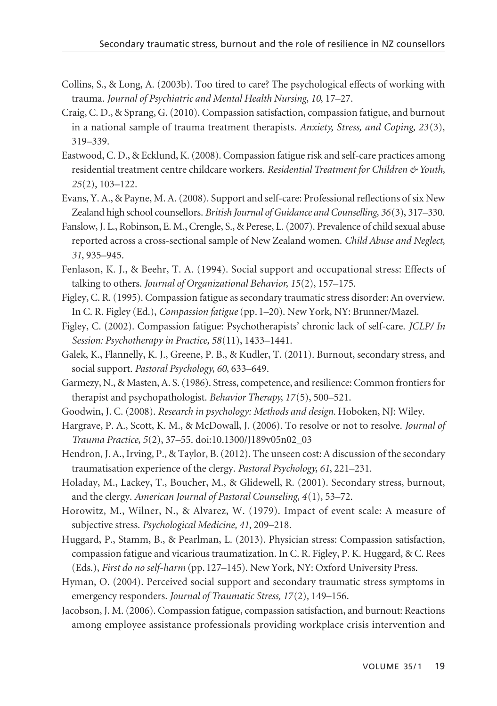- Collins, S., & Long, A. (2003b). Too tired to care? The psychological effects of working with trauma. *Journal of Psychiatric and Mental Health Nursing, 10*, 17–27.
- Craig, C. D., & Sprang, G. (2010). Compassion satisfaction, compassion fatigue, and burnout in a national sample of trauma treatment therapists. *Anxiety, Stress, and Coping, 23*(3), 319–339.
- Eastwood, C. D., & Ecklund, K. (2008). Compassion fatigue risk and self-care practices among residential treatment centre childcare workers. *Residential Treatment for Children & Youth, 25*(2), 103–122.
- Evans, Y. A., & Payne, M. A. (2008). Support and self-care: Professional reflections of six New Zealand high school counsellors. *British Journal of Guidance and Counselling, 36*(3), 317–330.
- Fanslow, J. L., Robinson, E. M., Crengle, S., & Perese, L. (2007). Prevalence of child sexual abuse reported across a cross-sectional sample of New Zealand women. *Child Abuse and Neglect, 31*, 935–945.
- Fenlason, K. J., & Beehr, T. A. (1994). Social support and occupational stress: Effects of talking to others. *Journal of Organizational Behavior, 15*(2), 157–175.
- Figley, C. R. (1995). Compassion fatigue as secondary traumatic stress disorder: An overview. In C. R. Figley (Ed.), *Compassion fatigue* (pp. 1–20). New York, NY: Brunner/Mazel.
- Figley, C. (2002). Compassion fatigue: Psychotherapists' chronic lack of self-care. *JCLP/ In Session: Psychotherapy in Practice, 58*(11), 1433–1441.
- Galek, K., Flannelly, K. J., Greene, P. B., & Kudler, T. (2011). Burnout, secondary stress, and social support. *Pastoral Psychology, 60*, 633–649.
- Garmezy, N., & Masten, A. S. (1986). Stress, competence, and resilience: Common frontiers for therapist and psychopathologist. *Behavior Therapy, 17*(5), 500–521.
- Goodwin, J. C. (2008). *Research in psychology: Methods and design.* Hoboken, NJ: Wiley.
- Hargrave, P. A., Scott, K. M., & McDowall, J. (2006). To resolve or not to resolve. *Journal of Trauma Practice, 5*(2), 37–55. doi:10.1300/J189v05n02\_03
- Hendron, J. A., Irving, P., & Taylor, B. (2012). The unseen cost: A discussion of the secondary traumatisation experience of the clergy. *Pastoral Psychology, 61*, 221–231.
- Holaday, M., Lackey, T., Boucher, M., & Glidewell, R. (2001). Secondary stress, burnout, and the clergy. *American Journal of Pastoral Counseling, 4*(1), 53–72.
- Horowitz, M., Wilner, N., & Alvarez, W. (1979). Impact of event scale: A measure of subjective stress. *Psychological Medicine, 41*, 209–218.
- Huggard, P., Stamm, B., & Pearlman, L. (2013). Physician stress: Compassion satisfaction, compassion fatigue and vicarious traumatization. In C. R. Figley, P. K. Huggard, & C. Rees (Eds.), *First do no self-harm* (pp. 127–145). New York, NY: Oxford University Press.
- Hyman, O. (2004). Perceived social support and secondary traumatic stress symptoms in emergency responders. *Journal of Traumatic Stress, 17*(2), 149–156.
- Jacobson, J. M. (2006). Compassion fatigue, compassion satisfaction, and burnout: Reactions among employee assistance professionals providing workplace crisis intervention and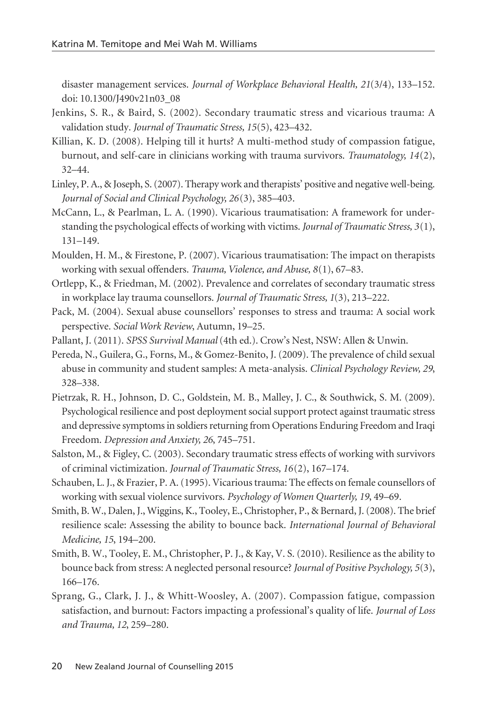disaster management services. *Journal of Workplace Behavioral Health, 21*(3/4), 133–152. doi: 10.1300/J490v21n03\_08

- Jenkins, S. R., & Baird, S. (2002). Secondary traumatic stress and vicarious trauma: A validation study. *Journal of Traumatic Stress, 15*(5), 423–432.
- Killian, K. D. (2008). Helping till it hurts? A multi-method study of compassion fatigue, burnout, and self-care in clinicians working with trauma survivors. *Traumatology, 14*(2), 32–44.
- Linley, P. A., & Joseph, S. (2007). Therapy work and therapists' positive and negative well-being. *Journal of Social and Clinical Psychology, 26*(3), 385–403.
- McCann, L., & Pearlman, L. A. (1990). Vicarious traumatisation: A framework for understanding the psychological effects of working with victims. *Journal of Traumatic Stress, 3*(1), 131–149.
- Moulden, H. M., & Firestone, P. (2007). Vicarious traumatisation: The impact on therapists working with sexual offenders. *Trauma, Violence, and Abuse, 8*(1), 67–83.
- Ortlepp, K., & Friedman, M. (2002). Prevalence and correlates of secondary traumatic stress in workplace lay trauma counsellors. *Journal of Traumatic Stress, 1*(3), 213–222.
- Pack, M. (2004). Sexual abuse counsellors' responses to stress and trauma: A social work perspective. *Social Work Review*, Autumn, 19–25.
- Pallant, J. (2011). *SPSS Survival Manual* (4th ed.). Crow's Nest, NSW: Allen & Unwin.
- Pereda, N., Guilera, G., Forns, M., & Gomez-Benito, J. (2009). The prevalence of child sexual abuse in community and student samples: A meta-analysis. *Clinical Psychology Review, 29*, 328–338.
- Pietrzak, R. H., Johnson, D. C., Goldstein, M. B., Malley, J. C., & Southwick, S. M. (2009). Psychological resilience and post deployment social support protect against traumatic stress and depressive symptoms in soldiers returning from Operations Enduring Freedom and Iraqi Freedom. *Depression and Anxiety, 26*, 745–751.
- Salston, M., & Figley, C. (2003). Secondary traumatic stress effects of working with survivors of criminal victimization. *Journal of Traumatic Stress, 16*(2), 167–174.
- Schauben, L. J., & Frazier, P. A. (1995). Vicarious trauma: The effects on female counsellors of working with sexual violence survivors. *Psychology of Women Quarterly, 19*, 49–69.
- Smith, B. W., Dalen, J., Wiggins, K., Tooley, E., Christopher, P., & Bernard, J. (2008). The brief resilience scale: Assessing the ability to bounce back. *International Journal of Behavioral Medicine, 15*, 194–200.
- Smith, B. W., Tooley, E. M., Christopher, P. J., & Kay, V. S. (2010). Resilience as the ability to bounce back from stress: A neglected personal resource? *Journal of Positive Psychology, 5*(3), 166–176.
- Sprang, G., Clark, J. J., & Whitt-Woosley, A. (2007). Compassion fatigue, compassion satisfaction, and burnout: Factors impacting a professional's quality of life. *Journal of Loss and Trauma, 12*, 259–280.